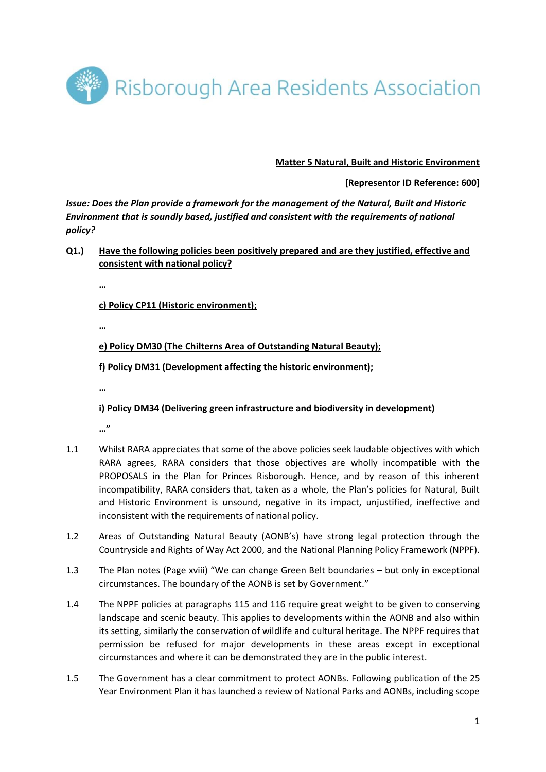

## **Matter 5 Natural, Built and Historic Environment**

## **[Representor ID Reference: 600]**

*Issue: Does the Plan provide a framework for the management of the Natural, Built and Historic Environment that is soundly based, justified and consistent with the requirements of national policy?* 

**Q1.) Have the following policies been positively prepared and are they justified, effective and consistent with national policy?**

**…**

**c) Policy CP11 (Historic environment);** 

**…**

**e) Policy DM30 (The Chilterns Area of Outstanding Natural Beauty);**

**f) Policy DM31 (Development affecting the historic environment);**

**…**

## **i) Policy DM34 (Delivering green infrastructure and biodiversity in development)**

**…"**

- 1.1 Whilst RARA appreciates that some of the above policies seek laudable objectives with which RARA agrees, RARA considers that those objectives are wholly incompatible with the PROPOSALS in the Plan for Princes Risborough. Hence, and by reason of this inherent incompatibility, RARA considers that, taken as a whole, the Plan's policies for Natural, Built and Historic Environment is unsound, negative in its impact, unjustified, ineffective and inconsistent with the requirements of national policy.
- 1.2 Areas of Outstanding Natural Beauty (AONB's) have strong legal protection through the Countryside and Rights of Way Act 2000, and the National Planning Policy Framework (NPPF).
- 1.3 The Plan notes (Page xviii) "We can change Green Belt boundaries but only in exceptional circumstances. The boundary of the AONB is set by Government."
- 1.4 The NPPF policies at paragraphs 115 and 116 require great weight to be given to conserving landscape and scenic beauty. This applies to developments within the AONB and also within its setting, similarly the conservation of wildlife and cultural heritage. The NPPF requires that permission be refused for major developments in these areas except in exceptional circumstances and where it can be demonstrated they are in the public interest.
- 1.5 The Government has a clear commitment to protect AONBs. Following publication of the 25 Year Environment Plan it has launched a review of National Parks and AONBs, including scope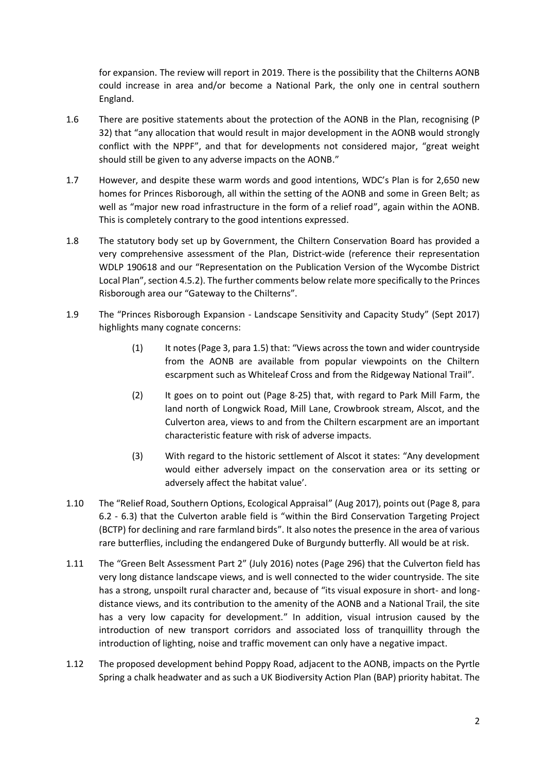for expansion. The review will report in 2019. There is the possibility that the Chilterns AONB could increase in area and/or become a National Park, the only one in central southern England.

- 1.6 There are positive statements about the protection of the AONB in the Plan, recognising (P 32) that "any allocation that would result in major development in the AONB would strongly conflict with the NPPF", and that for developments not considered major, "great weight should still be given to any adverse impacts on the AONB."
- 1.7 However, and despite these warm words and good intentions, WDC's Plan is for 2,650 new homes for Princes Risborough, all within the setting of the AONB and some in Green Belt; as well as "major new road infrastructure in the form of a relief road", again within the AONB. This is completely contrary to the good intentions expressed.
- 1.8 The statutory body set up by Government, the Chiltern Conservation Board has provided a very comprehensive assessment of the Plan, District-wide (reference their representation WDLP 190618 and our "Representation on the Publication Version of the Wycombe District Local Plan", section 4.5.2). The further comments below relate more specifically to the Princes Risborough area our "Gateway to the Chilterns".
- 1.9 The "Princes Risborough Expansion Landscape Sensitivity and Capacity Study" (Sept 2017) highlights many cognate concerns:
	- (1) It notes (Page 3, para 1.5) that: "Views across the town and wider countryside from the AONB are available from popular viewpoints on the Chiltern escarpment such as Whiteleaf Cross and from the Ridgeway National Trail".
	- (2) It goes on to point out (Page 8-25) that, with regard to Park Mill Farm, the land north of Longwick Road, Mill Lane, Crowbrook stream, Alscot, and the Culverton area, views to and from the Chiltern escarpment are an important characteristic feature with risk of adverse impacts.
	- (3) With regard to the historic settlement of Alscot it states: "Any development would either adversely impact on the conservation area or its setting or adversely affect the habitat value'.
- 1.10 The "Relief Road, Southern Options, Ecological Appraisal" (Aug 2017), points out (Page 8, para 6.2 - 6.3) that the Culverton arable field is "within the Bird Conservation Targeting Project (BCTP) for declining and rare farmland birds". It also notes the presence in the area of various rare butterflies, including the endangered Duke of Burgundy butterfly. All would be at risk.
- 1.11 The "Green Belt Assessment Part 2" (July 2016) notes (Page 296) that the Culverton field has very long distance landscape views, and is well connected to the wider countryside. The site has a strong, unspoilt rural character and, because of "its visual exposure in short- and longdistance views, and its contribution to the amenity of the AONB and a National Trail, the site has a very low capacity for development." In addition, visual intrusion caused by the introduction of new transport corridors and associated loss of tranquillity through the introduction of lighting, noise and traffic movement can only have a negative impact.
- 1.12 The proposed development behind Poppy Road, adjacent to the AONB, impacts on the Pyrtle Spring a chalk headwater and as such a UK Biodiversity Action Plan (BAP) priority habitat. The